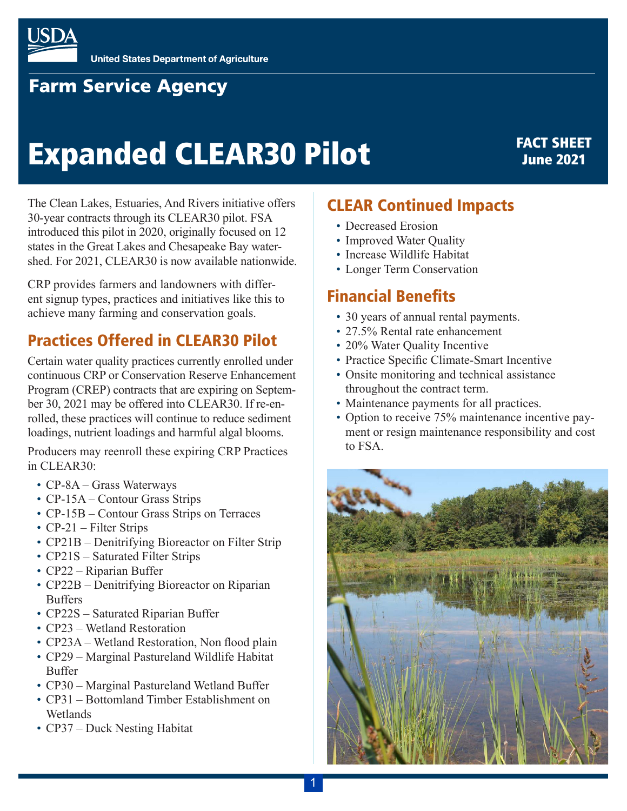## **Farm Service Agency**

# Expanded CLEAR30 Pilot FACT SHEET

# *.*<br>June 2021 Date and Crop Year

The Clean Lakes, Estuaries, And Rivers initiative offers 30-year contracts through its CLEAR30 pilot. FSA introduced this pilot in 2020, originally focused on 12 states in the Great Lakes and Chesapeake Bay watershed. For 2021, CLEAR30 is now available nationwide.

CRP provides farmers and landowners with different signup types, practices and initiatives like this to achieve many farming and conservation goals.

## Practices Offered in CLEAR30 Pilot

Certain water quality practices currently enrolled under continuous CRP or Conservation Reserve Enhancement Program (CREP) contracts that are expiring on September 30, 2021 may be offered into CLEAR30. If re-enrolled, these practices will continue to reduce sediment loadings, nutrient loadings and harmful algal blooms.

Producers may reenroll these expiring CRP Practices in CLEAR30:

- CP-8A Grass Waterways
- CP-15A Contour Grass Strips
- CP-15B Contour Grass Strips on Terraces
- $CP-21$  Filter Strips
- CP21B Denitrifying Bioreactor on Filter Strip
- CP21S Saturated Filter Strips
- CP22 Riparian Buffer
- CP22B Denitrifying Bioreactor on Riparian **Buffers**
- CP22S Saturated Riparian Buffer
- CP23 Wetland Restoration
- CP23A Wetland Restoration, Non flood plain
- • CP29 Marginal Pastureland Wildlife Habitat Buffer
- CP30 Marginal Pastureland Wetland Buffer
- CP31 Bottomland Timber Establishment on **Wetlands**
- CP37 Duck Nesting Habitat

#### CLEAR Continued Impacts

- Decreased Erosion
- Improved Water Quality
- Increase Wildlife Habitat
- Longer Term Conservation

#### Financial Benefits

- 30 years of annual rental payments.
- 27.5% Rental rate enhancement
- 20% Water Ouality Incentive
- Practice Specific Climate-Smart Incentive
- Onsite monitoring and technical assistance throughout the contract term.
- Maintenance payments for all practices.
- Option to receive 75% maintenance incentive payment or resign maintenance responsibility and cost to FSA.